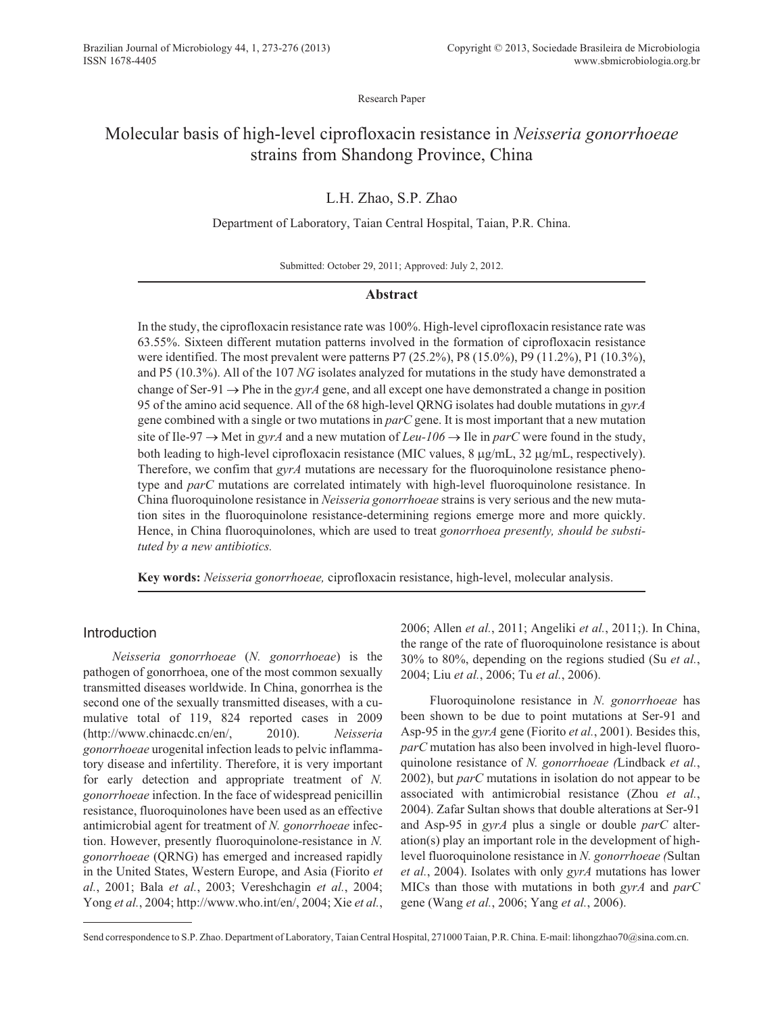Research Paper

# Molecular basis of high-level ciprofloxacin resistance in *Neisseria gonorrhoeae* strains from Shandong Province, China

## L.H. Zhao, S.P. Zhao

## Department of Laboratory, Taian Central Hospital, Taian, P.R. China.

Submitted: October 29, 2011; Approved: July 2, 2012.

## **Abstract**

In the study, the ciprofloxacin resistance rate was 100%. High-level ciprofloxacin resistance rate was 63.55%. Sixteen different mutation patterns involved in the formation of ciprofloxacin resistance were identified. The most prevalent were patterns P7 (25.2%), P8 (15.0%), P9 (11.2%), P1 (10.3%), and P5 (10.3%). All of the 107 *NG* isolates analyzed for mutations in the study have demonstrated a change of Ser-91  $\rightarrow$  Phe in the *gyrA* gene, and all except one have demonstrated a change in position 95 of the amino acid sequence. All of the 68 high-level QRNG isolates had double mutations in *gyrA* gene combined with a single or two mutations in *parC* gene. It is most important that a new mutation site of Ile-97  $\rightarrow$  Met in *gyrA* and a new mutation of *Leu-106*  $\rightarrow$  Ile in *parC* were found in the study, both leading to high-level ciprofloxacin resistance (MIC values,  $8 \mu g/mL$ ,  $32 \mu g/mL$ , respectively). Therefore, we confim that *gyrA* mutations are necessary for the fluoroquinolone resistance phenotype and *parC* mutations are correlated intimately with high-level fluoroquinolone resistance. In China fluoroquinolone resistance in *Neisseria gonorrhoeae* strains is very serious and the new mutation sites in the fluoroquinolone resistance-determining regions emerge more and more quickly. Hence, in China fluoroquinolones, which are used to treat *gonorrhoea presently, should be substituted by a new antibiotics.*

**Key words:** *Neisseria gonorrhoeae,* ciprofloxacin resistance, high-level, molecular analysis.

## Introduction

*Neisseria gonorrhoeae* (*N. gonorrhoeae*) is the pathogen of gonorrhoea, one of the most common sexually transmitted diseases worldwide. In China, gonorrhea is the second one of the sexually transmitted diseases, with a cumulative total of 119, 824 reported cases in 2009 (http://www.chinacdc.cn/en/, 2010). *Neisseria gonorrhoeae* urogenital infection leads to pelvic inflammatory disease and infertility. Therefore, it is very important for early detection and appropriate treatment of *N. gonorrhoeae* infection. In the face of widespread penicillin resistance, fluoroquinolones have been used as an effective antimicrobial agent for treatment of *N. gonorrhoeae* infection. However, presently fluoroquinolone-resistance in *N. gonorrhoeae* (QRNG) has emerged and increased rapidly in the United States, Western Europe, and Asia (Fiorito *et al.*, 2001; Bala *et al.*, 2003; Vereshchagin *et al.*, 2004; Yong *et al.*, 2004; http://www.who.int/en/, 2004; Xie *et al.*,

2006; Allen *et al.*, 2011; Angeliki *et al.*, 2011;). In China, the range of the rate of fluoroquinolone resistance is about 30% to 80%, depending on the regions studied (Su *et al.*, 2004; Liu *et al.*, 2006; Tu *et al.*, 2006).

Fluoroquinolone resistance in *N. gonorrhoeae* has been shown to be due to point mutations at Ser-91 and Asp-95 in the *gyrA* gene (Fiorito *et al.*, 2001). Besides this, *parC* mutation has also been involved in high-level fluoroquinolone resistance of *N. gonorrhoeae (*Lindback *et al.*, 2002), but *parC* mutations in isolation do not appear to be associated with antimicrobial resistance (Zhou *et al.*, 2004). Zafar Sultan shows that double alterations at Ser-91 and Asp-95 in *gyrA* plus a single or double *parC* alteration(s) play an important role in the development of highlevel fluoroquinolone resistance in *N. gonorrhoeae (*Sultan *et al.*, 2004). Isolates with only *gyrA* mutations has lower MICs than those with mutations in both *gyrA* and *parC* gene (Wang *et al.*, 2006; Yang *et al.*, 2006).

Send correspondence to S.P. Zhao. Department of Laboratory, Taian Central Hospital, 271000 Taian, P.R. China. E-mail: lihongzhao70@sina.com.cn.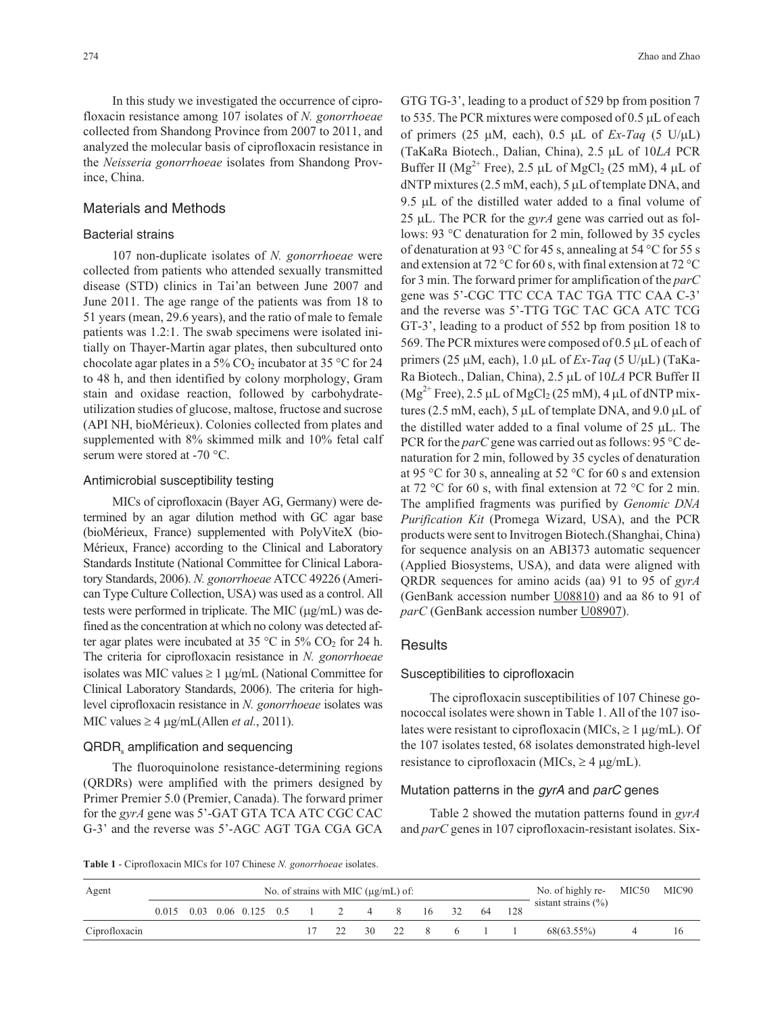In this study we investigated the occurrence of ciprofloxacin resistance among 107 isolates of *N. gonorrhoeae* collected from Shandong Province from 2007 to 2011, and analyzed the molecular basis of ciprofloxacin resistance in the *Neisseria gonorrhoeae* isolates from Shandong Province, China.

## Materials and Methods

#### Bacterial strains

107 non-duplicate isolates of *N. gonorrhoeae* were collected from patients who attended sexually transmitted disease (STD) clinics in Tai'an between June 2007 and June 2011. The age range of the patients was from 18 to 51 years (mean, 29.6 years), and the ratio of male to female patients was 1.2:1. The swab specimens were isolated initially on Thayer-Martin agar plates, then subcultured onto chocolate agar plates in a 5%  $CO<sub>2</sub>$  incubator at 35 °C for 24 to 48 h, and then identified by colony morphology, Gram stain and oxidase reaction, followed by carbohydrateutilization studies of glucose, maltose, fructose and sucrose (API NH, bioMérieux). Colonies collected from plates and supplemented with 8% skimmed milk and 10% fetal calf serum were stored at -70 °C.

#### Antimicrobial susceptibility testing

MICs of ciprofloxacin (Bayer AG, Germany) were determined by an agar dilution method with GC agar base (bioMérieux, France) supplemented with PolyViteX (bio-Mérieux, France) according to the Clinical and Laboratory Standards Institute (National Committee for Clinical Laboratory Standards, 2006). *N. gonorrhoeae* ATCC 49226 (American Type Culture Collection, USA) was used as a control. All tests were performed in triplicate. The MIC  $(\mu g/mL)$  was defined as the concentration at which no colony was detected after agar plates were incubated at 35  $\degree$ C in 5% CO<sub>2</sub> for 24 h. The criteria for ciprofloxacin resistance in *N. gonorrhoeae* isolates was MIC values  $\geq 1$  µg/mL (National Committee for Clinical Laboratory Standards, 2006). The criteria for highlevel ciprofloxacin resistance in *N. gonorrhoeae* isolates was MIC values  $\geq 4$   $\mu$ g/mL(Allen *et al.*, 2011).

#### QRDR, amplification and sequencing

The fluoroquinolone resistance-determining regions (QRDRs) were amplified with the primers designed by Primer Premier 5.0 (Premier, Canada). The forward primer for the *gyrA* gene was 5'-GAT GTA TCA ATC CGC CAC G-3' and the reverse was 5'-AGC AGT TGA CGA GCA

GTG TG-3', leading to a product of 529 bp from position 7 to 535. The PCR mixtures were composed of  $0.5 \mu L$  of each of primers (25  $\mu$ M, each), 0.5  $\mu$ L of *Ex-Taq* (5 U/ $\mu$ L) (TaKaRa Biotech., Dalian, China), 2.5 µL of 10*LA* PCR Buffer II ( $Mg^{2+}$  Free), 2.5 µL of  $MgCl_2$  (25 mM), 4 µL of  $dNTP$  mixtures (2.5 mM, each), 5  $\mu$ L of template DNA, and 9.5  $\mu$ L of the distilled water added to a final volume of 25  $\mu$ L. The PCR for the *gyrA* gene was carried out as follows: 93 °C denaturation for 2 min, followed by 35 cycles of denaturation at 93 °C for 45 s, annealing at 54 °C for 55 s and extension at 72 °C for 60 s, with final extension at 72 °C for 3 min. The forward primer for amplification of the *parC* gene was 5'-CGC TTC CCA TAC TGA TTC CAA C-3' and the reverse was 5'-TTG TGC TAC GCA ATC TCG GT-3', leading to a product of 552 bp from position 18 to 569. The PCR mixtures were composed of  $0.5 \mu L$  of each of primers (25  $\mu$ M, each), 1.0  $\mu$ L of *Ex-Taq* (5 U/ $\mu$ L) (TaKa-Ra Biotech., Dalian, China), 2.5 µL of 10LA PCR Buffer II  $(Mg^{2+}$  Free), 2.5 µL of MgCl<sub>2</sub> (25 mM), 4 µL of dNTP mixtures (2.5 mM, each), 5  $\mu$ L of template DNA, and 9.0  $\mu$ L of the distilled water added to a final volume of  $25 \mu L$ . The PCR for the *parC* gene was carried out as follows: 95 °C denaturation for 2 min, followed by 35 cycles of denaturation at 95 °C for 30 s, annealing at 52 °C for 60 s and extension at 72 °C for 60 s, with final extension at 72 °C for 2 min. The amplified fragments was purified by *Genomic DNA Purification Kit* (Promega Wizard, USA), and the PCR products were sent to Invitrogen Biotech.(Shanghai, China) for sequence analysis on an ABI373 automatic sequencer (Applied Biosystems, USA), and data were aligned with QRDR sequences for amino acids (aa) 91 to 95 of *gyrA* (GenBank accession number U08810) and aa 86 to 91 of *parC* (GenBank accession number U08907).

#### **Results**

#### Susceptibilities to ciprofloxacin

The ciprofloxacin susceptibilities of 107 Chinese gonococcal isolates were shown in Table 1. All of the 107 isolates were resistant to ciprofloxacin (MICs,  $\geq 1 \mu g/mL$ ). Of the 107 isolates tested, 68 isolates demonstrated high-level resistance to ciprofloxacin (MICs,  $\geq$  4  $\mu$ g/mL).

#### Mutation patterns in the *gyrA* and *parC* genes

Table 2 showed the mutation patterns found in *gyrA* and *parC* genes in 107 ciprofloxacin-resistant isolates. Six-

**Table 1** - Ciprofloxacin MICs for 107 Chinese *N. gonorrhoeae* isolates.

| Agent         |  |                                         |  |  | No. of strains with MIC $(\mu g/mL)$ of: |  |      | No. of highly re- $MIC50$ | MIC90 |
|---------------|--|-----------------------------------------|--|--|------------------------------------------|--|------|---------------------------|-------|
|               |  | 0.015 0.03 0.06 0.125 0.5 1 2 4 8 16 32 |  |  |                                          |  | - 64 | sistant strains $(\% )$   |       |
| Ciprofloxacin |  |                                         |  |  | 17 22 30 22 8 6 1 1                      |  |      | 68(63.55%)                | 16    |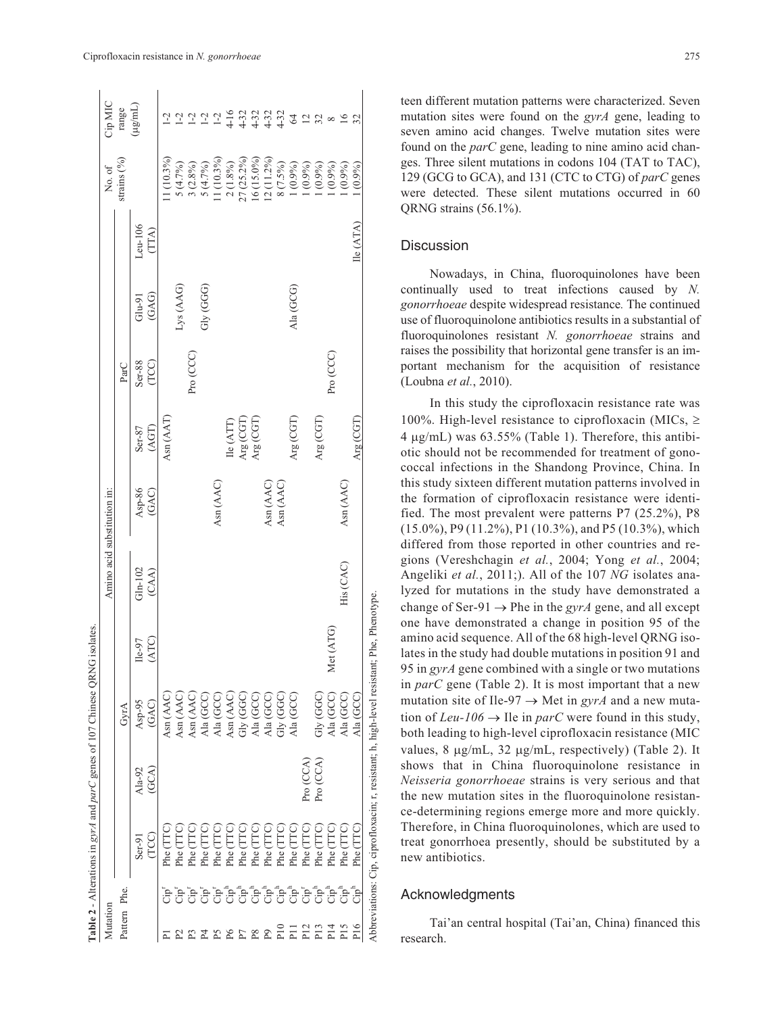| Mutation              |                                  |                   |                   |                                                                         |                    | Amino acid substitution in: |                 |                    |                 |                   |                    | No. of        | Cip MIC                                                                               |
|-----------------------|----------------------------------|-------------------|-------------------|-------------------------------------------------------------------------|--------------------|-----------------------------|-----------------|--------------------|-----------------|-------------------|--------------------|---------------|---------------------------------------------------------------------------------------|
| Pattern Phe.          |                                  |                   |                   | GyrA                                                                    |                    |                             |                 |                    | ParC            |                   |                    | strains $(%)$ | range                                                                                 |
|                       |                                  | (TCC)<br>$Ser-91$ | $Ala-92$<br>(GCA) | (GAC)<br>Asp-95                                                         | (ATC)<br>$Ile-97$  | $Gln-102$<br>(CAA)          | Asp-86<br>(GAC) | (AGT)<br>$Ser-87$  | Ser-88<br>(TCC) | (GAG)<br>$Glu-91$ | $Len-106$<br>(TTA) |               | $(\mu$ g/mL)                                                                          |
| д                     |                                  | Phe (TTC          |                   | Asn (AAC)                                                               |                    |                             |                 | Asn (AAT)          |                 |                   |                    | (1(10.3%)     | $1-2$                                                                                 |
| $\mathbb{Z}$          |                                  | Phe (TTC)         |                   | Asn (AAC)                                                               |                    |                             |                 |                    |                 | Lys (AAG)         |                    | 5(4.7%)       | $1 - 2$                                                                               |
| $\boldsymbol{\Sigma}$ | មិមិមិមិមិមិមិមិមិមិមិមិមីមីមីមី | (TTC)<br>Phe (    |                   | Asn (AAC)                                                               |                    |                             |                 |                    | Pro (CCC)       |                   |                    | $3(2.8\%)$    | $1-2$                                                                                 |
| $_{\rm p}$            |                                  | Phe (TTC)         |                   | Ala (GCC)                                                               |                    |                             |                 |                    |                 | GGGG)             |                    | 5(4.7%)       | $1 - 2$                                                                               |
| P5<br>P6              |                                  | Phe (TTC)         |                   | Ala (GCC)                                                               |                    |                             | Asn (AAC)       |                    |                 |                   |                    | $1(10.3\%)$   |                                                                                       |
|                       |                                  | (TTC)<br>Phe(     |                   | Asn (AAC)                                                               |                    |                             |                 | $\text{lle (ATT)}$ |                 |                   |                    | 2(1.8%)       |                                                                                       |
| $\rm P7$              |                                  | Phe (TTC)         |                   | Gly (GGC)                                                               |                    |                             |                 | Arg (CGT)          |                 |                   |                    | 27 (25.2%)    |                                                                                       |
| $P^8$                 |                                  | Phe (TTC)         |                   | Ala (GCC)                                                               |                    |                             |                 | Arg (CGT           |                 |                   |                    | 16 (15.0%)    | $16$<br>$-19$<br>$-19$<br>$-19$<br>$-19$<br>$-19$<br>$-19$<br>$-19$<br>$-19$<br>$-19$ |
|                       |                                  | Phe (TTC)         |                   | Ala (GCC)                                                               |                    |                             | Asn (AAC)       |                    |                 |                   |                    | $12(11.2\%)$  |                                                                                       |
| P10                   |                                  | Phe (TTC)         |                   | Gly (GGC)                                                               |                    |                             | Asn (AAC)       |                    |                 |                   |                    | $8(7.5\%)$    |                                                                                       |
| $\overline{E}$        |                                  | Phe (TTC)         |                   | Ala (GCC)                                                               |                    |                             |                 | Arg (CGT)          |                 | Ala (GCG)         |                    | $(0.9\%)$     | 64                                                                                    |
| P12                   |                                  | Phe (TTC)         | Pro (CCA)         |                                                                         |                    |                             |                 |                    |                 |                   |                    | $(0.9\%)$     | 12                                                                                    |
| P <sub>13</sub>       |                                  | Phe (TTC          | Pro (CCA)         | Gly (GGC)                                                               |                    |                             |                 | Arg (CGT)          |                 |                   |                    | $(0.9\%)$     | 32                                                                                    |
| P14                   |                                  | (TTC)<br>Phe(     |                   | Ala (GCC)                                                               | Met (ATG)          |                             |                 |                    | Pro (CCC)       |                   |                    | $(0.9\%)$     | $\infty$                                                                              |
| P <sub>15</sub>       |                                  | Phe (TTC)         |                   | Ala (GCC)                                                               |                    | His (CAC)                   | Asn (AAC)       |                    |                 |                   |                    | (0.9%         | 16                                                                                    |
| P <sub>16</sub>       |                                  | Phe (TTC)         |                   | Ala (GCC)                                                               |                    |                             |                 | Arg (CGT)          |                 |                   | $\rm{lle}\,(ATA)$  | (0.9%         | 32                                                                                    |
|                       |                                  |                   |                   | Abbreviations: Cip, ciprofloxacin; r, resistant; h, high-level resistan | t; Phe, Phenotype. |                             |                 |                    |                 |                   |                    |               |                                                                                       |

 $C<sub>1</sub>$ 

teen different mutation patterns were characterized. Seven mutation sites were found on the *gyrA* gene, leading to seven amino acid changes. Twelve mutation sites were found on the *parC* gene, leading to nine amino acid changes. Three silent mutations in codons 104 (TAT to TAC), 129 (GCG to GCA), and 131 (CTC to CTG) of *parC* genes were detected. These silent mutations occurred in 60 QRNG strains (56.1%).

## **Discussion**

Nowadays, in China, fluoroquinolones have been continually used to treat infections caused by *N. gonorrhoeae* despite widespread resistance*.* The continued use of fluoroquinolone antibiotics results in a substantial of fluoroquinolones resistant *N. gonorrhoeae* strains and raises the possibility that horizontal gene transfer is an important mechanism for the acquisition of resistance (Loubna *et al.*, 2010).

In this study the ciprofloxacin resistance rate was 100%. High-level resistance to ciprofloxacin (MICs,  $\geq$  $4 \mu g/mL$ ) was  $63.55\%$  (Table 1). Therefore, this antibiotic should not be recommended for treatment of gonococcal infections in the Shandong Province, China. In this study sixteen different mutation patterns involved in the formation of ciprofloxacin resistance were identified. The most prevalent were patterns P7 (25.2%), P8 (15.0%), P9 (11.2%), P1 (10.3%), and P5 (10.3%), which differed from those reported in other countries and regions (Vereshchagin *et al.*, 2004; Yong *et al.*, 2004; Angeliki *et al.*, 2011;). All of the 107 *NG* isolates analyzed for mutations in the study have demonstrated a change of Ser-91  $\rightarrow$  Phe in the *gyrA* gene, and all except one have demonstrated a change in position 95 of the amino acid sequence. All of the 68 high-level QRNG isolates in the study had double mutations in position 91 and 95 in *gyrA* gene combined with a single or two mutations in *parC* gene (Table 2). It is most important that a new mutation site of Ile-97  $\rightarrow$  Met in *gyrA* and a new mutation of *Leu-106*  $\rightarrow$  Ile in *parC* were found in this study, both leading to high-level ciprofloxacin resistance (MIC values,  $8 \mu g/mL$ ,  $32 \mu g/mL$ , respectively) (Table 2). It shows that in China fluoroquinolone resistance in *Neisseria gonorrhoeae* strains is very serious and that the new mutation sites in the fluoroquinolone resistance-determining regions emerge more and more quickly. Therefore, in China fluoroquinolones, which are used to treat gonorrhoea presently, should be substituted by a new antibiotics.

## Acknowledgments

Tai'an central hospital (Tai'an, China) financed this research.